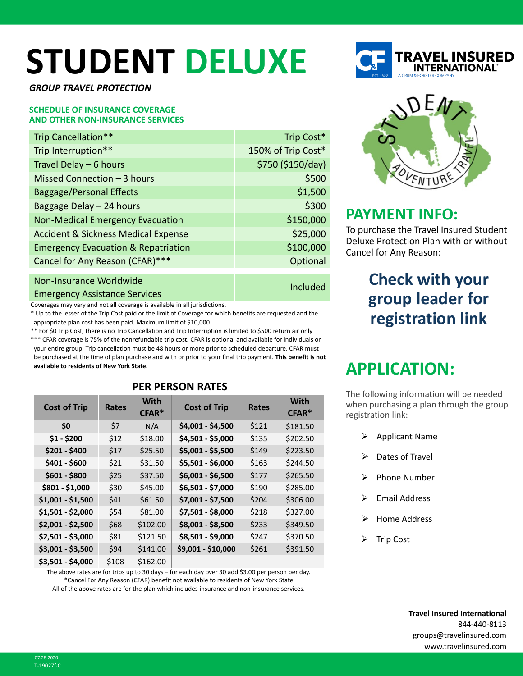# **STUDENT DELUXE**

*GROUP TRAVEL PROTECTION*

### **SCHEDULE OF INSURANCE COVERAGE AND OTHER NON-INSURANCE SERVICES**

| Trip Cancellation**                            | Trip Cost*         |
|------------------------------------------------|--------------------|
| Trip Interruption**                            | 150% of Trip Cost* |
| Travel Delay - 6 hours                         | \$750 (\$150/day)  |
| Missed Connection - 3 hours                    | \$500              |
| <b>Baggage/Personal Effects</b>                | \$1,500            |
| Baggage Delay - 24 hours                       | \$300              |
| <b>Non-Medical Emergency Evacuation</b>        | \$150,000          |
| <b>Accident &amp; Sickness Medical Expense</b> | \$25,000           |
| <b>Emergency Evacuation &amp; Repatriation</b> | \$100,000          |
| Cancel for Any Reason (CFAR)***                | Optional           |
|                                                |                    |
| Non-Insurance Worldwide                        | $I_{B}$            |

Emergency Assistance Services Included

Coverages may vary and not all coverage is available in all jurisdictions.

\* Up to the lesser of the Trip Cost paid or the limit of Coverage for which benefits are requested and the appropriate plan cost has been paid. Maximum limit of \$10,000

\*\* For \$0 Trip Cost, there is no Trip Cancellation and Trip Interruption is limited to \$500 return air only \*\*\* CFAR coverage is 75% of the nonrefundable trip cost. CFAR is optional and available for individuals or your entire group. Trip cancellation must be 48 hours or more prior to scheduled departure. CFAR must be purchased at the time of plan purchase and with or prior to your final trip payment. **This benefit is not available to residents of New York State.**

| <b>Cost of Trip</b> | <b>Rates</b> | <b>With</b><br>$CFAR*$ | <b>Cost of Trip</b> | Rates | <b>With</b><br>$CFAR*$ |  |  |
|---------------------|--------------|------------------------|---------------------|-------|------------------------|--|--|
| \$0                 | \$7          | N/A                    | \$4,001 - \$4,500   | \$121 | \$181.50               |  |  |
| $$1 - $200$         | \$12         | \$18.00                | \$4,501 - \$5,000   | \$135 | \$202.50               |  |  |
| $$201 - $400$       | \$17         | \$25.50                | \$5,001 - \$5,500   | \$149 | \$223.50               |  |  |
| \$401 - \$600       | \$21         | \$31.50                | \$5,501 - \$6,000   | \$163 | \$244.50               |  |  |
| $$601 - $800$       | \$25         | \$37.50                | \$6,001 - \$6,500   | \$177 | \$265.50               |  |  |
| \$801 - \$1,000     | \$30         | \$45.00                | \$6,501 - \$7,000   | \$190 | \$285.00               |  |  |
| $$1,001 - $1,500$   | \$41         | \$61.50                | \$7,001 - \$7,500   | \$204 | \$306.00               |  |  |
| \$1,501 - \$2,000   | \$54         | \$81.00                | \$7,501 - \$8,000   | \$218 | \$327.00               |  |  |
| \$2,001 - \$2,500   | \$68         | \$102.00               | \$8,001 - \$8,500   | \$233 | \$349.50               |  |  |
| \$2,501 - \$3,000   | \$81         | \$121.50               | \$8,501 - \$9,000   | \$247 | \$370.50               |  |  |
| \$3,001 - \$3,500   | \$94         | \$141.00               | \$9,001 - \$10,000  | \$261 | \$391.50               |  |  |
| \$3,501 - \$4,000   | \$108        | \$162.00               |                     |       |                        |  |  |

### **PER PERSON RATES**

The above rates are for trips up to 30 days – for each day over 30 add \$3.00 per person per day. \*Cancel For Any Reason (CFAR) benefit not available to residents of New York State All of the above rates are for the plan which includes insurance and non-insurance services.





### **PAYMENT INFO:**

To purchase the Travel Insured Student Deluxe Protection Plan with or without Cancel for Any Reason:

### **Check with your group leader for registration link**

## **APPLICATION:**

The following information will be needed when purchasing a plan through the group registration link:

- $\triangleright$  Applicant Name
- Dates of Travel
- Phone Number
- Email Address
- Home Address
- Trip Cost